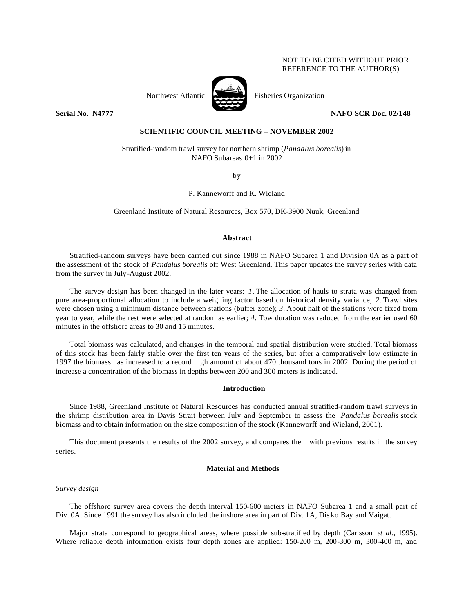# NOT TO BE CITED WITHOUT PRIOR REFERENCE TO THE AUTHOR(S)



Northwest Atlantic Fisheries Organization

**Serial No. N4777** NAFO SCR Doc. 02/148

# **SCIENTIFIC COUNCIL MEETING – NOVEMBER 2002**

Stratified-random trawl survey for northern shrimp (*Pandalus borealis*) in NAFO Subareas 0+1 in 2002

by

P. Kanneworff and K. Wieland

Greenland Institute of Natural Resources, Box 570, DK-3900 Nuuk, Greenland

## **Abstract**

Stratified-random surveys have been carried out since 1988 in NAFO Subarea 1 and Division 0A as a part of the assessment of the stock of *Pandalus borealis* off West Greenland. This paper updates the survey series with data from the survey in July-August 2002.

The survey design has been changed in the later years: *1.* The allocation of hauls to strata was changed from pure area-proportional allocation to include a weighing factor based on historical density variance; *2.* Trawl sites were chosen using a minimum distance between stations (buffer zone); *3.* About half of the stations were fixed from year to year, while the rest were selected at random as earlier; *4.* Tow duration was reduced from the earlier used 60 minutes in the offshore areas to 30 and 15 minutes.

Total biomass was calculated, and changes in the temporal and spatial distribution were studied. Total biomass of this stock has been fairly stable over the first ten years of the series, but after a comparatively low estimate in 1997 the biomass has increased to a record high amount of about 470 thousand tons in 2002. During the period of increase a concentration of the biomass in depths between 200 and 300 meters is indicated.

### **Introduction**

Since 1988, Greenland Institute of Natural Resources has conducted annual stratified-random trawl surveys in the shrimp distribution area in Davis Strait between July and September to assess the *Pandalus borealis* stock biomass and to obtain information on the size composition of the stock (Kanneworff and Wieland, 2001).

This document presents the results of the 2002 survey, and compares them with previous results in the survey series.

## **Material and Methods**

### *Survey design*

The offshore survey area covers the depth interval 150-600 meters in NAFO Subarea 1 and a small part of Div. 0A. Since 1991 the survey has also included the inshore area in part of Div. 1A, Dis ko Bay and Vaigat.

Major strata correspond to geographical areas, where possible sub-stratified by depth (Carlsson *et al*., 1995). Where reliable depth information exists four depth zones are applied: 150-200 m, 200-300 m, 300-400 m, and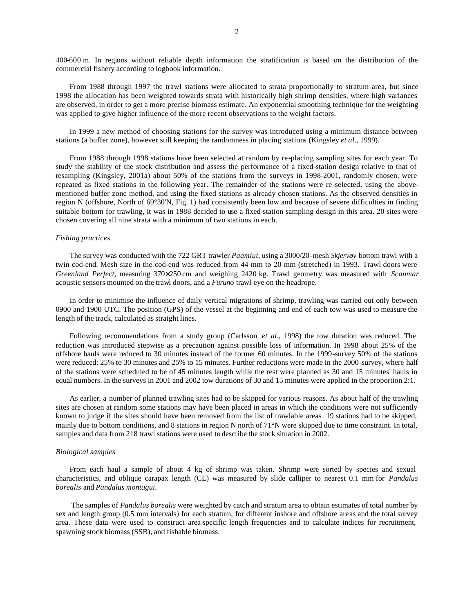400-600 m. In regions without reliable depth information the stratification is based on the distribution of the commercial fishery according to logbook information.

From 1988 through 1997 the trawl stations were allocated to strata proportionally to stratum area, but since 1998 the allocation has been weighted towards strata with historically high shrimp densities, where high variances are observed, in order to get a more precise biomass estimate. An exponential smoothing technique for the weighting was applied to give higher influence of the more recent observations to the weight factors.

In 1999 a new method of choosing stations for the survey was introduced using a minimum distance between stations (a buffer zone), however still keeping the randomness in placing stations (Kingsley *et al*., 1999).

From 1988 through 1998 stations have been selected at random by re-placing sampling sites for each year. To study the stability of the stock distribution and assess the performance of a fixed-station design relative to that of resampling (Kingsley, 2001a) about 50% of the stations from the surveys in 1998-2001, randomly chosen, were repeated as fixed stations in the following year. The remainder of the stations were re-selected, using the abovementioned buffer zone method, and using the fixed stations as already chosen stations. As the observed densities in region N (offshore, North of 69°30'N, Fig. 1) had consistently been low and because of severe difficulties in finding suitable bottom for trawling, it was in 1988 decided to use a fixed-station sampling design in this area. 20 sites were chosen covering all nine strata with a minimum of two stations in each.

#### *Fishing practices*

The survey was conducted with the 722 GRT trawler *Paamiut*, using a 3000/20-mesh *Skjervøy* bottom trawl with a twin cod-end. Mesh size in the cod-end was reduced from 44 mm to 20 mm (stretched) in 1993. Trawl doors were *Greenland Perfect*, measuring 370×250 cm and weighing 2420 kg. Trawl geometry was measured with *Scanmar* acoustic sensors mounted on the trawl doors, and a *Furuno* trawl-eye on the headrope.

In order to minimise the influence of daily vertical migrations of shrimp, trawling was carried out only between 0900 and 1900 UTC. The position (GPS) of the vessel at the beginning and end of each tow was used to measure the length of the track, calculated as straight lines.

Following recommendations from a study group (Carlsson *et al*., 1998) the tow duration was reduced. The reduction was introduced stepwise as a precaution against possible loss of information. In 1998 about 25% of the offshore hauls were reduced to 30 minutes instead of the former 60 minutes. In the 1999-survey 50% of the stations were reduced: 25% to 30 minutes and 25% to 15 minutes. Further reductions were made in the 2000-survey, where half of the stations were scheduled to be of 45 minutes length while the rest were planned as 30 and 15 minutes' hauls in equal numbers. In the surveys in 2001 and 2002 tow durations of 30 and 15 minutes were applied in the proportion 2:1.

As earlier, a number of planned trawling sites had to be skipped for various reasons. As about half of the trawling sites are chosen at random some stations may have been placed in areas in which the conditions were not sufficiently known to judge if the sites should have been removed from the list of trawlable areas. 19 stations had to be skipped, mainly due to bottom conditions, and 8 stations in region N north of 71°N were skipped due to time constraint. In total, samples and data from 218 trawl stations were used to describe the stock situation in 2002.

#### *Biological samples*

From each haul a sample of about 4 kg of shrimp was taken. Shrimp were sorted by species and sexual characteristics, and oblique carapax length (CL) was measured by slide calliper to nearest 0.1 mm for *Pandalus borealis* and *Pandalus montagui*.

 The samples of *Pandalus borealis* were weighted by catch and stratum area to obtain estimates of total number by sex and length group (0.5 mm intervals) for each stratum, for different inshore and offshore areas and the total survey area. These data were used to construct area-specific length frequencies and to calculate indices for recruitment, spawning stock biomass (SSB), and fishable biomass.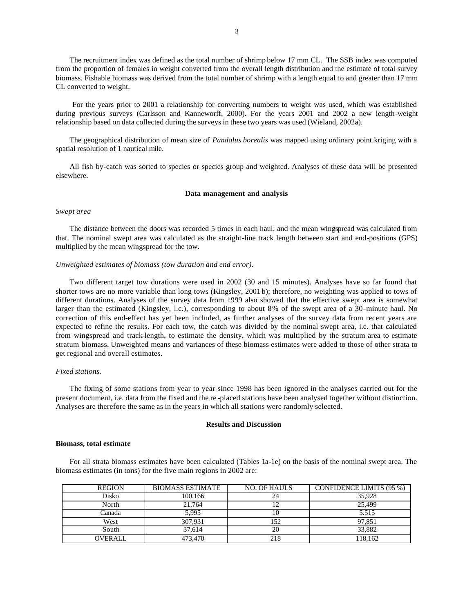The recruitment index was defined as the total number of shrimp below 17 mm CL. The SSB index was computed from the proportion of females in weight converted from the overall length distribution and the estimate of total survey biomass. Fishable biomass was derived from the total number of shrimp with a length equal to and greater than 17 mm CL converted to weight.

 For the years prior to 2001 a relationship for converting numbers to weight was used, which was established during previous surveys (Carlsson and Kanneworff, 2000). For the years 2001 and 2002 a new length-weight relationship based on data collected during the surveys in these two years was used (Wieland, 2002a).

The geographical distribution of mean size of *Pandalus borealis* was mapped using ordinary point kriging with a spatial resolution of 1 nautical mile.

All fish by-catch was sorted to species or species group and weighted. Analyses of these data will be presented elsewhere.

#### **Data management and analysis**

### *Swept area*

The distance between the doors was recorded 5 times in each haul, and the mean wingspread was calculated from that. The nominal swept area was calculated as the straight-line track length between start and end-positions (GPS) multiplied by the mean wingspread for the tow.

#### *Unweighted estimates of biomass (tow duration and end error).*

Two different target tow durations were used in 2002 (30 and 15 minutes). Analyses have so far found that shorter tows are no more variable than long tows (Kingsley, 2001 b); therefore, no weighting was applied to tows of different durations. Analyses of the survey data from 1999 also showed that the effective swept area is somewhat larger than the estimated (Kingsley, l.c.), corresponding to about 8% of the swept area of a 30-minute haul. No correction of this end-effect has yet been included, as further analyses of the survey data from recent years are expected to refine the results. For each tow, the catch was divided by the nominal swept area, i.e. that calculated from wingspread and track-length, to estimate the density, which was multiplied by the stratum area to estimate stratum biomass. Unweighted means and variances of these biomass estimates were added to those of other strata to get regional and overall estimates.

#### *Fixed stations.*

The fixing of some stations from year to year since 1998 has been ignored in the analyses carried out for the present document, i.e. data from the fixed and the re -placed stations have been analysed together without distinction. Analyses are therefore the same as in the years in which all stations were randomly selected.

## **Results and Discussion**

#### **Biomass, total estimate**

For all strata biomass estimates have been calculated (Tables 1a-1e) on the basis of the nominal swept area. The biomass estimates (in tons) for the five main regions in 2002 are:

| <b>REGION</b> | <b>BIOMASS ESTIMATE</b> | <b>NO. OF HAULS</b> | CONFIDENCE LIMITS (95 %) |
|---------------|-------------------------|---------------------|--------------------------|
| Disko         | 100.166                 |                     | 35,928                   |
| North         | 21.764                  |                     | 25,499                   |
| Canada        | 5.995                   | 10                  | 5.515                    |
| West          | 307.931                 | 152                 | 97.851                   |
| South         | 37.614                  | 20                  | 33,882                   |
| OVERALL       | 473,470                 | 218                 | 118,162                  |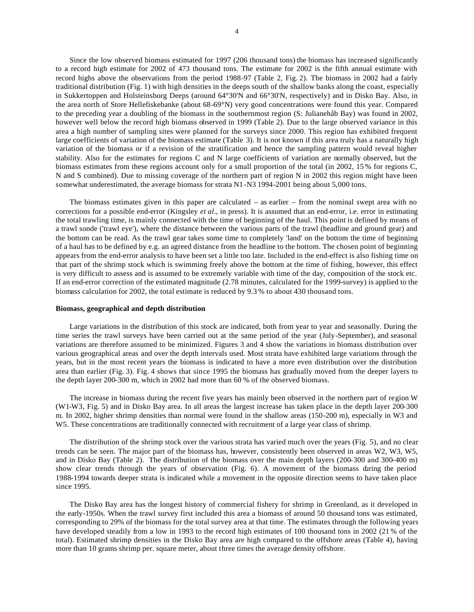Since the low observed biomass estimated for 1997 (206 thousand tons) the biomass has increased significantly to a record high estimate for 2002 of 473 thousand tons. The estimate for 2002 is the fifth annual estimate with record highs above the observations from the period 1988-97 (Table 2, Fig. 2). The biomass in 2002 had a fairly traditional distribution (Fig. 1) with high densities in the deeps south of the shallow banks along the coast, especially in Sukkertoppen and Holsteinsborg Deeps (around 64°30'N and 66°30'N, respectively) and in Disko Bay. Also, in the area north of Store Hellefiskebanke (about 68-69°N) very good concentrations were found this year. Compared to the preceding year a doubling of the biomass in the southernmost region (S: Julianehåb Bay) was found in 2002, however well below the record high biomass observed in 1999 (Table 2). Due to the large observed variance in this area a high number of sampling sites were planned for the surveys since 2000. This region has exhibited frequent large coefficients of variation of the biomass estimate (Table 3). It is not known if this area truly has a naturally high variation of the biomass or if a revision of the stratification and hence the sampling pattern would reveal higher stability. Also for the estimates for regions C and N large coefficients of variation are normally observed, but the biomass estimates from these regions account only for a small proportion of the total (in 2002, 15 % for regions C, N and S combined). Due to missing coverage of the northern part of region N in 2002 this region might have been somewhat underestimated, the average biomass for strata N1-N3 1994-2001 being about 5,000 tons.

The biomass estimates given in this paper are calculated – as earlier – from the nominal swept area with no corrections for a possible end-error (Kingsley *et al*., in press). It is assumed that an end-error, i.e. error in estimating the total trawling time, is mainly connected with the time of beginning of the haul. This point is defined by means of a trawl sonde ('trawl eye'), where the distance between the various parts of the trawl (headline and ground gear) and the bottom can be read. As the trawl gear takes some time to completely 'land' on the bottom the time of beginning of a haul has to be defined by e.g. an agreed distance from the headline to the bottom. The chosen point of beginning appears from the end-error analysis to have been set a little too late. Included in the end-effect is also fishing time on that part of the shrimp stock which is swimming freely above the bottom at the time of fishing, however, this effect is very difficult to assess and is assumed to be extremely variable with time of the day, composition of the stock etc. If an end-error correction of the estimated magnitude (2.78 minutes, calculated for the 1999-survey) is applied to the biomass calculation for 2002, the total estimate is reduced by 9.3 % to about 430 thousand tons.

#### **Biomass, geographical and depth distribution**

Large variations in the distribution of this stock are indicated, both from year to year and seasonally. During the time series the trawl surveys have been carried out at the same period of the year (July-September), and seasonal variations are therefore assumed to be minimized. Figures 3 and 4 show the variations in biomass distribution over various geographical areas and over the depth intervals used. Most strata have exhibited large variations through the years, but in the most recent years the biomass is indicated to have a more even distribution over the distribution area than earlier (Fig. 3). Fig. 4 shows that since 1995 the biomass has gradually moved from the deeper layers to the depth layer 200-300 m, which in 2002 had more than 60 % of the observed biomass.

The increase in biomass during the recent five years has mainly been observed in the northern part of region W (W1-W3, Fig. 5) and in Disko Bay area. In all areas the largest increase has taken place in the depth layer 200-300 m. In 2002, higher shrimp densities than normal were found in the shallow areas (150-200 m), especially in W3 and W5. These concentrations are traditionally connected with recruitment of a large year class of shrimp.

The distribution of the shrimp stock over the various strata has varied much over the years (Fig. 5), and no clear trends can be seen. The major part of the biomass has, however, consistently been observed in areas W2, W3, W5, and in Disko Bay (Table 2). The distribution of the biomass over the main depth layers (200-300 and 300-400 m) show clear trends through the years of observation (Fig. 6). A movement of the biomass during the period 1988-1994 towards deeper strata is indicated while a movement in the opposite direction seems to have taken place since 1995.

The Disko Bay area has the longest history of commercial fishery for shrimp in Greenland, as it developed in the early-1950s. When the trawl survey first included this area a biomass of around 50 thousand tons was estimated, corresponding to 29% of the biomass for the total survey area at that time. The estimates through the following years have developed steadily from a low in 1993 to the record high estimates of 100 thousand tons in 2002 (21 % of the total). Estimated shrimp densities in the Disko Bay area are high compared to the offshore areas (Table 4), having more than 10 grams shrimp per. square meter, about three times the average density offshore.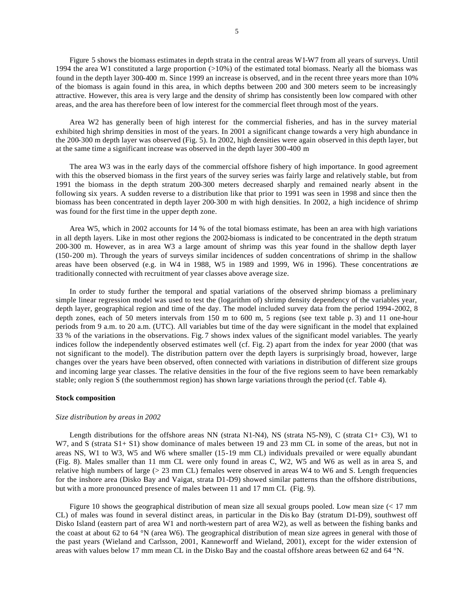Figure 5 shows the biomass estimates in depth strata in the central areas W1-W7 from all years of surveys. Until 1994 the area W1 constituted a large proportion  $(>10\%)$  of the estimated total biomass. Nearly all the biomass was found in the depth layer 300-400 m. Since 1999 an increase is observed, and in the recent three years more than 10% of the biomass is again found in this area, in which depths between 200 and 300 meters seem to be increasingly attractive. However, this area is very large and the density of shrimp has consistently been low compared with other areas, and the area has therefore been of low interest for the commercial fleet through most of the years.

Area W2 has generally been of high interest for the commercial fisheries, and has in the survey material exhibited high shrimp densities in most of the years. In 2001 a significant change towards a very high abundance in the 200-300 m depth layer was observed (Fig. 5). In 2002, high densities were again observed in this depth layer, but at the same time a significant increase was observed in the depth layer 300-400 m

The area W3 was in the early days of the commercial offshore fishery of high importance. In good agreement with this the observed biomass in the first years of the survey series was fairly large and relatively stable, but from 1991 the biomass in the depth stratum 200-300 meters decreased sharply and remained nearly absent in the following six years. A sudden reverse to a distribution like that prior to 1991 was seen in 1998 and since then the biomass has been concentrated in depth layer 200-300 m with high densities. In 2002, a high incidence of shrimp was found for the first time in the upper depth zone.

Area W5, which in 2002 accounts for 14 % of the total biomass estimate, has been an area with high variations in all depth layers. Like in most other regions the 2002-biomass is indicated to be concentrated in the depth stratum 200-300 m. However, as in area W3 a large amount of shrimp was this year found in the shallow depth layer (150-200 m). Through the years of surveys similar incidences of sudden concentrations of shrimp in the shallow areas have been observed (e.g. in W4 in 1988, W5 in 1989 and 1999, W6 in 1996). These concentrations are traditionally connected with recruitment of year classes above average size.

In order to study further the temporal and spatial variations of the observed shrimp biomass a preliminary simple linear regression model was used to test the (logarithm of) shrimp density dependency of the variables year, depth layer, geographical region and time of the day. The model included survey data from the period 1994-2002, 8 depth zones, each of 50 meters intervals from 150 m to 600 m, 5 regions (see text table p. 3) and 11 one-hour periods from 9 a.m. to 20 a.m. (UTC). All variables but time of the day were significant in the model that explained 33 % of the variations in the observations. Fig. 7 shows index values of the significant model variables. The yearly indices follow the independently observed estimates well (cf. Fig. 2) apart from the index for year 2000 (that was not significant to the model). The distribution pattern over the depth layers is surprisingly broad, however, large changes over the years have been observed, often connected with variations in distribution of different size groups and incoming large year classes. The relative densities in the four of the five regions seem to have been remarkably stable; only region S (the southernmost region) has shown large variations through the period (cf. Table 4).

### **Stock composition**

#### *Size distribution by areas in 2002*

Length distributions for the offshore areas NN (strata N1-N4), NS (strata N5-N9), C (strata C1+ C3), W1 to W7, and S (strata S1+ S1) show dominance of males between 19 and 23 mm CL in some of the areas, but not in areas NS, W1 to W3, W5 and W6 where smaller (15-19 mm CL) individuals prevailed or were equally abundant (Fig. 8). Males smaller than 11 mm CL were only found in areas C, W2, W5 and W6 as well as in area S, and relative high numbers of large (> 23 mm CL) females were observed in areas W4 to W6 and S. Length frequencies for the inshore area (Disko Bay and Vaigat, strata D1-D9) showed similar patterns than the offshore distributions, but with a more pronounced presence of males between 11 and 17 mm CL (Fig. 9).

Figure 10 shows the geographical distribution of mean size all sexual groups pooled. Low mean size (< 17 mm CL) of males was found in several distinct areas, in particular in the Dis ko Bay (stratum D1-D9), southwest off Disko Island (eastern part of area W1 and north-western part of area W2), as well as between the fishing banks and the coast at about 62 to 64 °N (area W6). The geographical distribution of mean size agrees in general with those of the past years (Wieland and Carlsson, 2001, Kanneworff and Wieland, 2001), except for the wider extension of areas with values below 17 mm mean CL in the Disko Bay and the coastal offshore areas between 62 and 64 °N.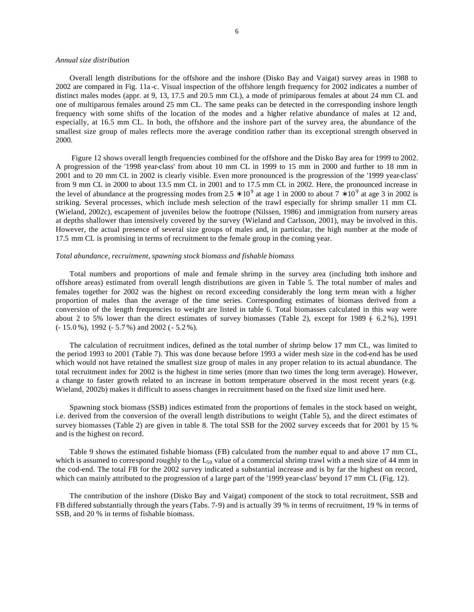#### *Annual size distribution*

Overall length distributions for the offshore and the inshore (Disko Bay and Vaigat) survey areas in 1988 to 2002 are compared in Fig. 11a -c. Visual inspection of the offshore length frequency for 2002 indicates a number of distinct males modes (appr. at 9, 13, 17.5 and 20.5 mm CL), a mode of primiparous females at about 24 mm CL and one of multiparous females around 25 mm CL. The same peaks can be detected in the corresponding inshore length frequency with some shifts of the location of the modes and a higher relative abundance of males at 12 and, especially, at 16.5 mm CL. In both, the offshore and the inshore part of the survey area, the abundance of the smallest size group of males reflects more the average condition rather than its exceptional strength observed in 2000.

 Figure 12 shows overall length frequencies combined for the offshore and the Disko Bay area for 1999 to 2002. A progression of the '1998 year-class' from about 10 mm CL in 1999 to 15 mm in 2000 and further to 18 mm in 2001 and to 20 mm CL in 2002 is clearly visible. Even more pronounced is the progression of the '1999 year-class' from 9 mm CL in 2000 to about 13.5 mm CL in 2001 and to 17.5 mm CL in 2002. Here, the pronounced increase in the level of abundance at the progressing modes from 2.5  $*$  10<sup>9</sup> at age 1 in 2000 to about 7  $*$  10<sup>9</sup> at age 3 in 2002 is striking. Several processes, which include mesh selection of the trawl especially for shrimp smaller 11 mm CL (Wieland, 2002c), escapement of juveniles below the footrope (Nilssen, 1986) and immigration from nursery areas at depths shallower than intensively covered by the survey (Wieland and Carlsson, 2001), may be involved in this. However, the actual presence of several size groups of males and, in particular, the high number at the mode of 17.5 mm CL is promising in terms of recruitment to the female group in the coming year.

## *Total abundance, recruitment, spawning stock biomass and fishable biomass*

Total numbers and proportions of male and female shrimp in the survey area (including both inshore and offshore areas) estimated from overall length distributions are given in Table 5. The total number of males and females together for 2002 was the highest on record exceeding considerably the long term mean with a higher proportion of males than the average of the time series. Corresponding estimates of biomass derived from a conversion of the length frequencies to weight are listed in table 6. Total biomasses calculated in this way were about 2 to 5% lower than the direct estimates of survey biomasses (Table 2), except for 1989  $(6.2\%)$ , 1991 (- 15.0 %), 1992 (- 5.7 %) and 2002 (- 5.2 %).

The calculation of recruitment indices, defined as the total number of shrimp below 17 mm CL, was limited to the period 1993 to 2001 (Table 7). This was done because before 1993 a wider mesh size in the cod-end has be used which would not have retained the smallest size group of males in any proper relation to its actual abundance. The total recruitment index for 2002 is the highest in time series (more than two times the long term average). However, a change to faster growth related to an increase in bottom temperature observed in the most recent years (e.g. Wieland, 2002b) makes it difficult to assess changes in recruitment based on the fixed size limit used here.

Spawning stock biomass (SSB) indices estimated from the proportions of females in the stock based on weight, i.e. derived from the conversion of the overall length distributions to weight (Table 5), and the direct estimates of survey biomasses (Table 2) are given in table 8. The total SSB for the 2002 survey exceeds that for 2001 by 15 % and is the highest on record.

Table 9 shows the estimated fishable biomass (FB) calculated from the number equal to and above 17 mm CL, which is assumed to correspond roughly to the  $L_{50}$  value of a commercial shrimp trawl with a mesh size of 44 mm in the cod-end. The total FB for the 2002 survey indicated a substantial increase and is by far the highest on record, which can mainly attributed to the progression of a large part of the '1999 year-class' beyond 17 mm CL (Fig. 12).

The contribution of the inshore (Disko Bay and Vaigat) component of the stock to total recruitment, SSB and FB differed substantially through the years (Tabs. 7-9) and is actually 39 % in terms of recruitment, 19 % in terms of SSB, and 20 % in terms of fishable biomass.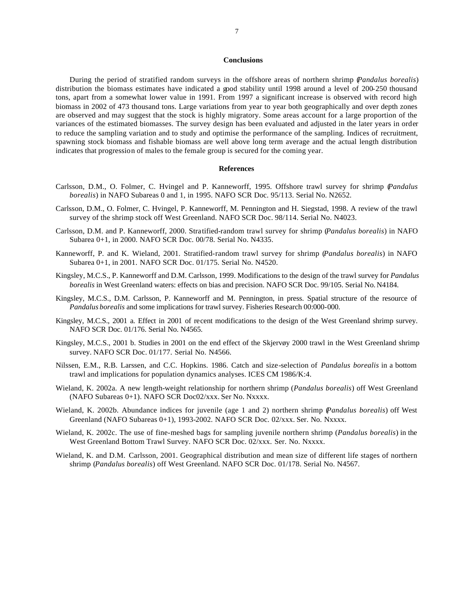#### **Conclusions**

During the period of stratified random surveys in the offshore areas of northern shrimp (*Pandalus borealis*) distribution the biomass estimates have indicated a good stability until 1998 around a level of 200-250 thousand tons, apart from a somewhat lower value in 1991. From 1997 a significant increase is observed with record high biomass in 2002 of 473 thousand tons. Large variations from year to year both geographically and over depth zones are observed and may suggest that the stock is highly migratory. Some areas account for a large proportion of the variances of the estimated biomasses. The survey design has been evaluated and adjusted in the later years in order to reduce the sampling variation and to study and optimise the performance of the sampling. Indices of recruitment, spawning stock biomass and fishable biomass are well above long term average and the actual length distribution indicates that progression of males to the female group is secured for the coming year.

#### **References**

- Carlsson, D.M., O. Folmer, C. Hvingel and P. Kanneworff, 1995. Offshore trawl survey for shrimp (*Pandalus borealis*) in NAFO Subareas 0 and 1, in 1995. NAFO SCR Doc. 95/113. Serial No. N2652.
- Carlsson, D.M., O. Folmer, C. Hvingel, P. Kanneworff, M. Pennington and H. Siegstad, 1998. A review of the trawl survey of the shrimp stock off West Greenland. NAFO SCR Doc. 98/114. Serial No. N4023.
- Carlsson, D.M. and P. Kanneworff, 2000. Stratified-random trawl survey for shrimp (*Pandalus borealis*) in NAFO Subarea 0+1, in 2000. NAFO SCR Doc. 00/78. Serial No. N4335.
- Kanneworff, P. and K. Wieland, 2001. Stratified-random trawl survey for shrimp (*Pandalus borealis*) in NAFO Subarea 0+1, in 2001. NAFO SCR Doc. 01/175. Serial No. N4520.
- Kingsley, M.C.S., P. Kanneworff and D.M. Carlsson, 1999. Modifications to the design of the trawl survey for *Pandalus borealis* in West Greenland waters: effects on bias and precision. NAFO SCR Doc. 99/105. Serial No. N4184.
- Kingsley, M.C.S., D.M. Carlsson, P. Kanneworff and M. Pennington, in press. Spatial structure of the resource of *Pandalus borealis* and some implications for trawl survey. Fisheries Research 00:000-000.
- Kingsley, M.C.S., 2001 a. Effect in 2001 of recent modifications to the design of the West Greenland shrimp survey. NAFO SCR Doc. 01/176. Serial No. N4565.
- Kingsley, M.C.S., 2001 b. Studies in 2001 on the end effect of the Skjervøy 2000 trawl in the West Greenland shrimp survey. NAFO SCR Doc. 01/177. Serial No. N4566.
- Nilssen, E.M., R.B. Larssen, and C.C. Hopkins. 1986. Catch and size-selection of *Pandalus borealis* in a bottom trawl and implications for population dynamics analyses. ICES CM 1986/K:4.
- Wieland, K. 2002a. A new length-weight relationship for northern shrimp (*Pandalus borealis*) off West Greenland (NAFO Subareas 0+1). NAFO SCR Doc02/xxx. Ser No. Nxxxx.
- Wieland, K. 2002b. Abundance indices for juvenile (age 1 and 2) northern shrimp (*Pandalus borealis*) off West Greenland (NAFO Subareas 0+1), 1993-2002. NAFO SCR Doc. 02/xxx. Ser. No. Nxxxx.
- Wieland, K. 2002c. The use of fine-meshed bags for sampling juvenile northern shrimp (*Pandalus borealis*) in the West Greenland Bottom Trawl Survey. NAFO SCR Doc. 02/xxx. Ser. No. Nxxxx.
- Wieland, K. and D.M. Carlsson, 2001. Geographical distribution and mean size of different life stages of northern shrimp (*Pandalus borealis*) off West Greenland. NAFO SCR Doc. 01/178. Serial No. N4567.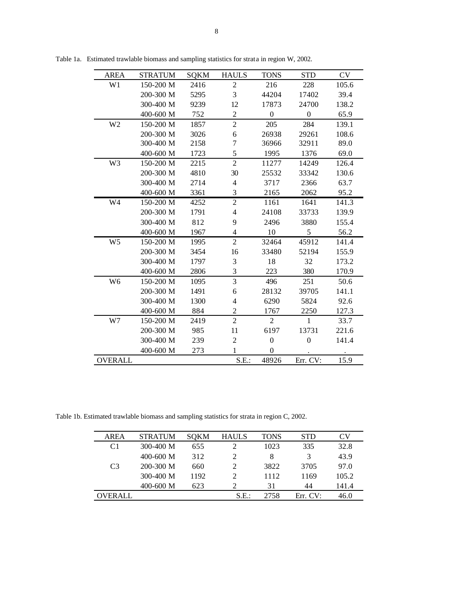| <b>AREA</b>    | <b>STRATUM</b> | <b>SQKM</b> | <b>HAULS</b>             | <b>TONS</b>      | <b>STD</b>       | <b>CV</b> |
|----------------|----------------|-------------|--------------------------|------------------|------------------|-----------|
| W1             | 150-200 M      | 2416        | $\mathfrak{2}$           | 216              | 228              | 105.6     |
|                | 200-300 M      | 5295        | 3                        | 44204            | 17402            | 39.4      |
|                | 300-400 M      | 9239        | 12                       | 17873            | 24700            | 138.2     |
|                | 400-600 M      | 752         | $\overline{2}$           | $\boldsymbol{0}$ | $\boldsymbol{0}$ | 65.9      |
| W <sub>2</sub> | 150-200 M      | 1857        | $\overline{c}$           | 205              | 284              | 139.1     |
|                | 200-300 M      | 3026        | 6                        | 26938            | 29261            | 108.6     |
|                | 300-400 M      | 2158        | 7                        | 36966            | 32911            | 89.0      |
|                | 400-600 M      | 1723        | 5                        | 1995             | 1376             | 69.0      |
| W3             | 150-200 M      | 2215        | $\overline{2}$           | 11277            | 14249            | 126.4     |
|                | 200-300 M      | 4810        | 30                       | 25532            | 33342            | 130.6     |
|                | 300-400 M      | 2714        | 4                        | 3717             | 2366             | 63.7      |
|                | 400-600 M      | 3361        | 3                        | 2165             | 2062             | 95.2      |
| W4             | 150-200 M      | 4252        | $\overline{2}$           | 1161             | 1641             | 141.3     |
|                | 200-300 M      | 1791        | $\overline{\mathcal{L}}$ | 24108            | 33733            | 139.9     |
|                | 300-400 M      | 812         | 9                        | 2496             | 3880             | 155.4     |
|                | 400-600 M      | 1967        | 4                        | 10               | 5                | 56.2      |
| W <sub>5</sub> | 150-200 M      | 1995        | $\overline{2}$           | 32464            | 45912            | 141.4     |
|                | 200-300 M      | 3454        | 16                       | 33480            | 52194            | 155.9     |
|                | 300-400 M      | 1797        | 3                        | 18               | 32               | 173.2     |
|                | 400-600 M      | 2806        | 3                        | 223              | 380              | 170.9     |
| W <sub>6</sub> | 150-200 M      | 1095        | 3                        | 496              | 251              | 50.6      |
|                | 200-300 M      | 1491        | 6                        | 28132            | 39705            | 141.1     |
|                | 300-400 M      | 1300        | 4                        | 6290             | 5824             | 92.6      |
|                | 400-600 M      | 884         | 2                        | 1767             | 2250             | 127.3     |
| W7             | 150-200 M      | 2419        | $\overline{2}$           | $\overline{2}$   | $\mathbf{1}$     | 33.7      |
|                | 200-300 M      | 985         | 11                       | 6197             | 13731            | 221.6     |
|                | 300-400 M      | 239         | $\overline{2}$           | $\boldsymbol{0}$ | $\overline{0}$   | 141.4     |
|                | 400-600 M      | 273         | $\mathbf{1}$             | $\Omega$         |                  |           |
| <b>OVERALL</b> |                |             | S.E.                     | 48926            | Err. CV:         | 15.9      |

Table 1a. Estimated trawlable biomass and sampling statistics for strata in region W, 2002.

Table 1b. Estimated trawlable biomass and sampling statistics for strata in region C, 2002.

| <b>AREA</b>    | <b>STRATUM</b> | <b>SOKM</b> | <b>HAULS</b>  | <b>TONS</b> | <b>STD</b> | Cν    |
|----------------|----------------|-------------|---------------|-------------|------------|-------|
| C1             | $300-400$ M    | 655         |               | 1023        | 335        | 32.8  |
|                | $400 - 600$ M  | 312         |               | 8           | 3          | 43.9  |
| C <sub>3</sub> | $200 - 300$ M  | 660         |               | 3822        | 3705       | 97.0  |
|                | $300-400$ M    | 1192        |               | 1112        | 1169       | 105.2 |
|                | $400 - 600$ M  | 623         | $\mathcal{D}$ | 31          | 44         | 141.4 |
| OVERALL        |                |             | S.E.:         | 2758        | Err. CV:   | 46.0  |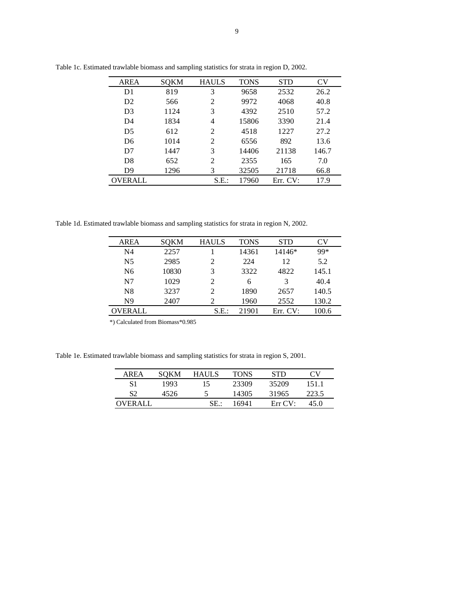| <b>AREA</b>    | SOKM | <b>HAULS</b>                | <b>TONS</b> | <b>STD</b> | CV    |
|----------------|------|-----------------------------|-------------|------------|-------|
| D1             | 819  | 3                           | 9658        | 2532       | 26.2  |
| D2             | 566  | 2                           | 9972        | 4068       | 40.8  |
| D <sub>3</sub> | 1124 | 3                           | 4392        | 2510       | 57.2  |
| D <sub>4</sub> | 1834 | 4                           | 15806       | 3390       | 21.4  |
| D <sub>5</sub> | 612  | $\mathcal{D}_{\mathcal{L}}$ | 4518        | 1227       | 27.2  |
| D <sub>6</sub> | 1014 | $\mathfrak{D}$              | 6556        | 892        | 13.6  |
| D <sub>7</sub> | 1447 | 3                           | 14406       | 21138      | 146.7 |
| D <sub>8</sub> | 652  | 2                           | 2355        | 165        | 7.0   |
| D <sub>9</sub> | 1296 | 3                           | 32505       | 21718      | 66.8  |
| <b>OVERALL</b> |      | S.E.                        | 17960       | Err. CV:   | 17.9  |

Table 1c. Estimated trawlable biomass and sampling statistics for strata in region D, 2002.

Table 1d. Estimated trawlable biomass and sampling statistics for strata in region N, 2002.

| <b>AREA</b>    | <b>SOKM</b> | <b>HAULS</b>   | <b>TONS</b> | <b>STD</b> | CV    |
|----------------|-------------|----------------|-------------|------------|-------|
| N4             | 2257        |                | 14361       | 14146*     | 99*   |
| N <sub>5</sub> | 2985        | $\mathfrak{D}$ | 224         | 12         | 5.2   |
| N6             | 10830       | 3              | 3322        | 4822       | 145.1 |
| N7             | 1029        | $\mathfrak{D}$ | 6           | 3          | 40.4  |
| N8             | 3237        | 2              | 1890        | 2657       | 140.5 |
| N <sub>9</sub> | 2407        | 2              | 1960        | 2552       | 130.2 |
| OVERALL        |             | S.E.           | 21901       | Err. CV:   | 100.6 |

\*) Calculated from Biomass\*0.985

Table 1e. Estimated trawlable biomass and sampling statistics for strata in region S, 2001.

| AREA    | SOKM | HAULS | <b>TONS</b> | <b>STD</b> | CV    |
|---------|------|-------|-------------|------------|-------|
| S1      | 1993 | 15    | 23309       | 35209      | 151.1 |
| S2      | 4526 | 5     | 14305       | 31965      | 223.5 |
| OVERALL |      | SE.:  | 16941       | Err CV:    | 45 O  |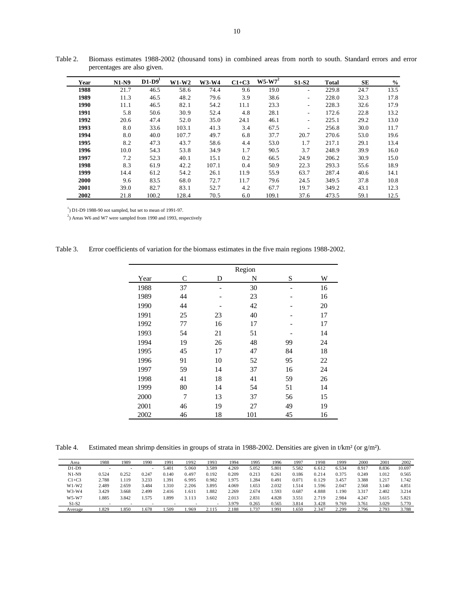| Year | $N1-N9$ | $D1-D9'$ | $W1-W2$ | W3-W4 | $C1+C3$ | $W5-W7^2$ | <b>S1-S2</b>             | <b>Total</b> | <b>SE</b> | $\frac{0}{0}$ |
|------|---------|----------|---------|-------|---------|-----------|--------------------------|--------------|-----------|---------------|
| 1988 | 21.7    | 46.5     | 58.6    | 74.4  | 9.6     | 19.0      | $\overline{\phantom{a}}$ | 229.8        | 24.7      | 13.5          |
| 1989 | 11.3    | 46.5     | 48.2    | 79.6  | 3.9     | 38.6      | $\overline{\phantom{a}}$ | 228.0        | 32.3      | 17.8          |
| 1990 | 11.1    | 46.5     | 82.1    | 54.2  | 11.1    | 23.3      | $\overline{\phantom{a}}$ | 228.3        | 32.6      | 17.9          |
| 1991 | 5.8     | 50.6     | 30.9    | 52.4  | 4.8     | 28.1      | $\overline{\phantom{a}}$ | 172.6        | 22.8      | 13.2          |
| 1992 | 20.6    | 47.4     | 52.0    | 35.0  | 24.1    | 46.1      | $\overline{\phantom{a}}$ | 225.1        | 29.2      | 13.0          |
| 1993 | 8.0     | 33.6     | 103.1   | 41.3  | 3.4     | 67.5      | $\overline{\phantom{a}}$ | 256.8        | 30.0      | 11.7          |
| 1994 | 8.0     | 40.0     | 107.7   | 49.7  | 6.8     | 37.7      | 20.7                     | 270.6        | 53.0      | 19.6          |
| 1995 | 8.2     | 47.3     | 43.7    | 58.6  | 4.4     | 53.0      | 1.7                      | 217.1        | 29.1      | 13.4          |
| 1996 | 10.0    | 54.3     | 53.8    | 34.9  | 1.7     | 90.5      | 3.7                      | 248.9        | 39.9      | 16.0          |
| 1997 | 7.2     | 52.3     | 40.1    | 15.1  | 0.2     | 66.5      | 24.9                     | 206.2        | 30.9      | 15.0          |
| 1998 | 8.3     | 61.9     | 42.2    | 107.1 | 0.4     | 50.9      | 22.3                     | 293.3        | 55.6      | 18.9          |
| 1999 | 14.4    | 61.2     | 54.2    | 26.1  | 11.9    | 55.9      | 63.7                     | 287.4        | 40.6      | 14.1          |
| 2000 | 9.6     | 83.5     | 68.0    | 72.7  | 11.7    | 79.6      | 24.5                     | 349.5        | 37.8      | 10.8          |
| 2001 | 39.0    | 82.7     | 83.1    | 52.7  | 4.2     | 67.7      | 19.7                     | 349.2        | 43.1      | 12.3          |
| 2002 | 21.8    | 100.2    | 128.4   | 70.5  | 6.0     | 109.1     | 37.6                     | 473.5        | 59.1      | 12.5          |

Table 2. Biomass estimates 1988-2002 (thousand tons) in combined areas from north to south. Standard errors and error percentages are also given.

 $1)$  D1-D9 1988-90 not sampled, but set to mean of 1991-97.

 $^{2}$ ) Areas W6 and W7 were sampled from 1990 and 1993, respectively

| Table 3. | Error coefficients of variation for the biomass estimates in the five main regions 1988-2002. |  |  |  |
|----------|-----------------------------------------------------------------------------------------------|--|--|--|
|          |                                                                                               |  |  |  |

|      |    |    | Region |    |    |
|------|----|----|--------|----|----|
| Year | C  | D  | N      | S  | W  |
| 1988 | 37 |    | 30     |    | 16 |
| 1989 | 44 |    | 23     |    | 16 |
| 1990 | 44 |    | 42     |    | 20 |
| 1991 | 25 | 23 | 40     |    | 17 |
| 1992 | 77 | 16 | 17     |    | 17 |
| 1993 | 54 | 21 | 51     |    | 14 |
| 1994 | 19 | 26 | 48     | 99 | 24 |
| 1995 | 45 | 17 | 47     | 84 | 18 |
| 1996 | 91 | 10 | 52     | 95 | 22 |
| 1997 | 59 | 14 | 37     | 16 | 24 |
| 1998 | 41 | 18 | 41     | 59 | 26 |
| 1999 | 80 | 14 | 54     | 51 | 14 |
| 2000 | 7  | 13 | 37     | 56 | 15 |
| 2001 | 46 | 19 | 27     | 49 | 19 |
| 2002 | 46 | 18 | 101    | 45 | 16 |

Table 4. Estimated mean shrimp densities in groups of strata in 1988-2002. Densities are given in t/km<sup>2</sup> (or g/m<sup>2</sup>).

| Area    | 1988                     | 1989                     | 1990  | 1991  | 1992  | 1993  | 1994  | 1995  | 1996  | 1997  | 1998  | 1999  | 2000  | 2001  | 2002   |
|---------|--------------------------|--------------------------|-------|-------|-------|-------|-------|-------|-------|-------|-------|-------|-------|-------|--------|
| $D1-D9$ | $\overline{\phantom{a}}$ | $\overline{\phantom{a}}$ |       | 5.401 | 5.060 | 3.589 | 4.269 | 5.052 | 5.801 | 5.582 | 6.612 | 6.534 | 8.917 | 8.836 | 10.697 |
| $N1-N9$ | 0.524                    | 0.252                    | 0.247 | 0.140 | 0.497 | 0.192 | 0.209 | 0.213 | 0.261 | 0.186 | 0.214 | 0.375 | 0.249 | 1.012 | 0.565  |
| $C1+C3$ | 2.788                    | .119                     | 3.233 | .391  | 6.995 | 0.982 | 1.975 | .284  | 0.491 | 0.071 | 0.129 | 3.457 | 3.388 | 1.217 | 1.742  |
| $W1-W2$ | 2.489                    | 2.659                    | 3.484 | 1.310 | 2.206 | 3.895 | 4.069 | .653  | 2.032 | 1.514 | .596  | 2.047 | 2.568 | 3.140 | 4.851  |
| $W3-W4$ | 3.429                    | 3.668                    | 2.499 | 2.416 | .611  | 1.882 | 2.269 | 2.674 | .593  | 0.687 | 4.888 | 1.190 | 3.317 | 2.402 | 3.214  |
| W5-W7   | 1.885                    | 3.842                    | 1.575 | .899  | 3.113 | 3.602 | 2.013 | 2.831 | 4.828 | 3.551 | 2.719 | 2.984 | 4.247 | 3.615 | 5.821  |
| $S1-S2$ |                          |                          |       |       |       |       | 3.979 | 0.265 | 0.565 | 3.814 | 3.428 | 9.769 | 3.761 | 3.029 | 5.770  |
| Average | 1.829                    | 1.850                    | 1.678 | .509  | .969  | 2.115 | 2.188 | 1.737 | .991  | .650  | 2.347 | 2.299 | 2.796 | 2.793 | 3.788  |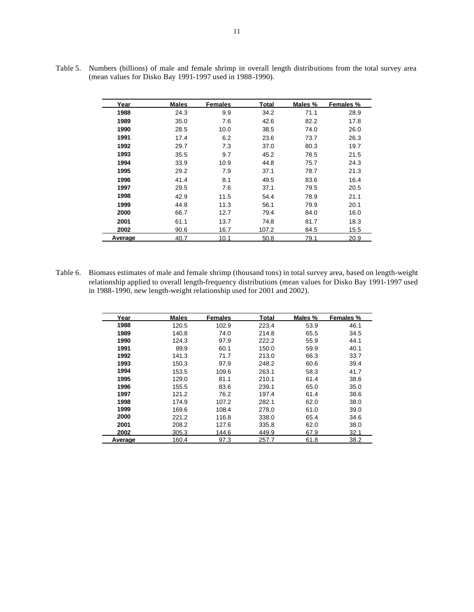| Year    | <b>Males</b> | <b>Females</b> | <b>Total</b> | Males % | Females % |
|---------|--------------|----------------|--------------|---------|-----------|
| 1988    | 24.3         | 9.9            | 34.2         | 71.1    | 28.9      |
| 1989    | 35.0         | 7.6            | 42.6         | 82.2    | 17.8      |
| 1990    | 28.5         | 10.0           | 38.5         | 74.0    | 26.0      |
| 1991    | 17.4         | 6.2            | 23.6         | 73.7    | 26.3      |
| 1992    | 29.7         | 7.3            | 37.0         | 80.3    | 19.7      |
| 1993    | 35.5         | 9.7            | 45.2         | 78.5    | 21.5      |
| 1994    | 33.9         | 10.9           | 44.8         | 75.7    | 24.3      |
| 1995    | 29.2         | 7.9            | 37.1         | 78.7    | 21.3      |
| 1996    | 41.4         | 8.1            | 49.5         | 83.6    | 16.4      |
| 1997    | 29.5         | 7.6            | 37.1         | 79.5    | 20.5      |
| 1998    | 42.9         | 11.5           | 54.4         | 78.9    | 21.1      |
| 1999    | 44.8         | 11.3           | 56.1         | 79.9    | 20.1      |
| 2000    | 66.7         | 12.7           | 79.4         | 84.0    | 16.0      |
| 2001    | 61.1         | 13.7           | 74.8         | 81.7    | 18.3      |
| 2002    | 90.6         | 16.7           | 107.2        | 84.5    | 15.5      |
| Average | 40.7         | 10.1           | 50.8         | 79.1    | 20.9      |

Table 5. Numbers (billions) of male and female shrimp in overall length distributions from the total survey area (mean values for Disko Bay 1991-1997 used in 1988-1990).

Table 6. Biomass estimates of male and female shrimp (thousand tons) in total survey area, based on length-weight relationship applied to overall length-frequency distributions (mean values for Disko Bay 1991-1997 used in 1988-1990, new length-weight relationship used for 2001 and 2002).

| Year    | <b>Males</b> | <b>Females</b> | Total | Males % | Females % |
|---------|--------------|----------------|-------|---------|-----------|
| 1988    | 120.5        | 102.9          | 223.4 | 53.9    | 46.1      |
| 1989    | 140.8        | 74.0           | 214.8 | 65.5    | 34.5      |
| 1990    | 124.3        | 97.9           | 222.2 | 55.9    | 44.1      |
| 1991    | 89.9         | 60.1           | 150.0 | 59.9    | 40.1      |
| 1992    | 141.3        | 71.7           | 213.0 | 66.3    | 33.7      |
| 1993    | 150.3        | 97.9           | 248.2 | 60.6    | 39.4      |
| 1994    | 153.5        | 109.6          | 263.1 | 58.3    | 41.7      |
| 1995    | 129.0        | 81.1           | 210.1 | 61.4    | 38.6      |
| 1996    | 155.5        | 83.6           | 239.1 | 65.0    | 35.0      |
| 1997    | 121.2        | 76.2           | 197.4 | 61.4    | 38.6      |
| 1998    | 174.9        | 107.2          | 282.1 | 62.0    | 38.0      |
| 1999    | 169.6        | 108.4          | 278.0 | 61.0    | 39.0      |
| 2000    | 221.2        | 116.8          | 338.0 | 65.4    | 34.6      |
| 2001    | 208.2        | 127.6          | 335.8 | 62.0    | 38.0      |
| 2002    | 305.3        | 144.6          | 449.9 | 67.9    | 32.1      |
| Average | 160.4        | 97.3           | 257.7 | 61.8    | 38.2      |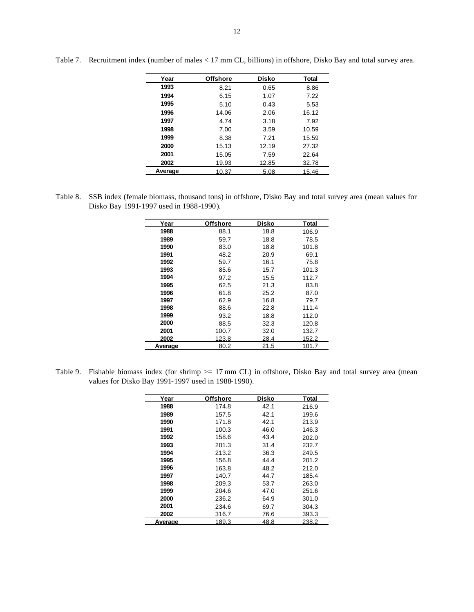| Year    | <b>Offshore</b> | <b>Disko</b> | Total |
|---------|-----------------|--------------|-------|
| 1993    | 8.21            | 0.65         | 8.86  |
| 1994    | 6.15            | 1.07         | 7.22  |
| 1995    | 5.10            | 0.43         | 5.53  |
| 1996    | 14.06           | 2.06         | 16.12 |
| 1997    | 4.74            | 3.18         | 7.92  |
| 1998    | 7.00            | 3.59         | 10.59 |
| 1999    | 8.38            | 7.21         | 15.59 |
| 2000    | 15.13           | 12.19        | 27.32 |
| 2001    | 15.05           | 7.59         | 22.64 |
| 2002    | 19.93           | 12.85        | 32.78 |
| Average | 10.37           | 5.08         | 15.46 |

Table 7. Recruitment index (number of males < 17 mm CL, billions) in offshore, Disko Bay and total survey area.

Table 8. SSB index (female biomass, thousand tons) in offshore, Disko Bay and total survey area (mean values for Disko Bay 1991-1997 used in 1988-1990).

| Year    | <b>Offshore</b> | Disko | Total |
|---------|-----------------|-------|-------|
| 1988    | 88.1            | 18.8  | 106.9 |
| 1989    | 59.7            | 18.8  | 78.5  |
| 1990    | 83.0            | 18.8  | 101.8 |
| 1991    | 48.2            | 20.9  | 69.1  |
| 1992    | 59.7            | 16.1  | 75.8  |
| 1993    | 85.6            | 15.7  | 101.3 |
| 1994    | 97.2            | 15.5  | 112.7 |
| 1995    | 62.5            | 21.3  | 83.8  |
| 1996    | 61.8            | 25.2  | 87.0  |
| 1997    | 62.9            | 16.8  | 79.7  |
| 1998    | 88.6            | 22.8  | 111.4 |
| 1999    | 93.2            | 18.8  | 112.0 |
| 2000    | 88.5            | 32.3  | 120.8 |
| 2001    | 100.7           | 32.0  | 132.7 |
| 2002    | 123.8           | 28.4  | 152.2 |
| Average | 80.2            | 21.5  | 101.7 |

Table 9. Fishable biomass index (for shrimp >= 17 mm CL) in offshore, Disko Bay and total survey area (mean values for Disko Bay 1991-1997 used in 1988-1990).

| Year    | <b>Offshore</b> | Disko | Total |
|---------|-----------------|-------|-------|
| 1988    | 174.8           | 42.1  | 216.9 |
| 1989    | 157.5           | 42.1  | 199.6 |
| 1990    | 171.8           | 42.1  | 213.9 |
| 1991    | 100.3           | 46.0  | 146.3 |
| 1992    | 158.6           | 43.4  | 202.0 |
| 1993    | 201.3           | 31.4  | 232.7 |
| 1994    | 213.2           | 36.3  | 249.5 |
| 1995    | 156.8           | 44.4  | 201.2 |
| 1996    | 163.8           | 48.2  | 212.0 |
| 1997    | 140.7           | 44.7  | 185.4 |
| 1998    | 209.3           | 53.7  | 263.0 |
| 1999    | 204.6           | 47.0  | 251.6 |
| 2000    | 236.2           | 64.9  | 301.0 |
| 2001    | 234.6           | 69.7  | 304.3 |
| 2002    | 316.7           | 76.6  | 393.3 |
| Average | 189.3           | 48.8  | 238.2 |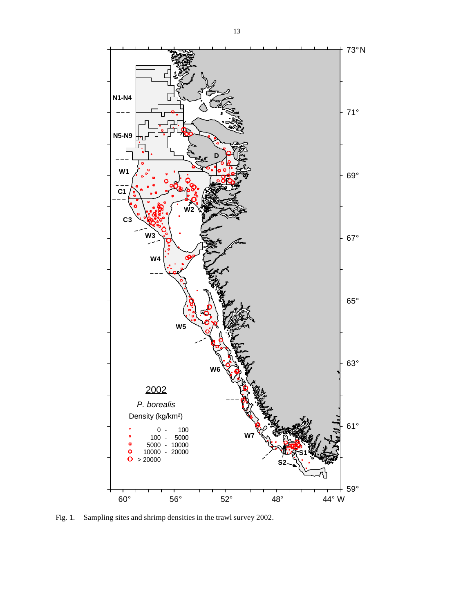

Fig. 1. Sampling sites and shrimp densities in the trawl survey 2002.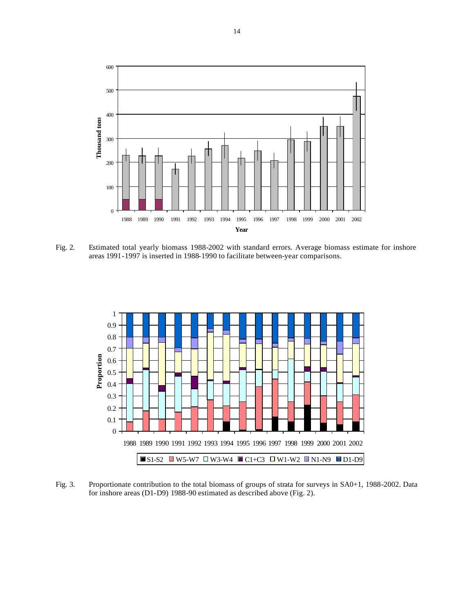

Fig. 2. Estimated total yearly biomass 1988-2002 with standard errors. Average biomass estimate for inshore areas 1991-1997 is inserted in 1988-1990 to facilitate between-year comparisons.



Fig. 3. Proportionate contribution to the total biomass of groups of strata for surveys in SA0+1, 1988-2002. Data for inshore areas (D1-D9) 1988-90 estimated as described above (Fig. 2).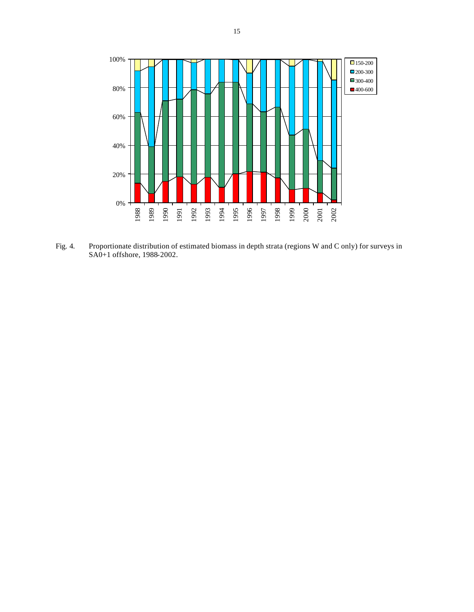

Fig. 4. Proportionate distribution of estimated biomass in depth strata (regions W and C only) for surveys in SA0+1 offshore, 1988-2002.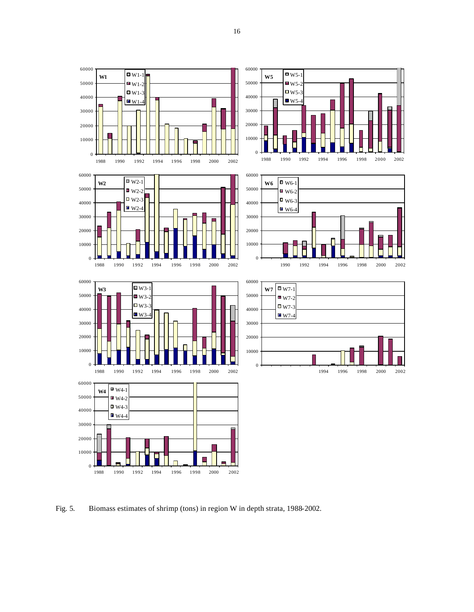



Fig. 5. Biomass estimates of shrimp (tons) in region W in depth strata, 1988-2002.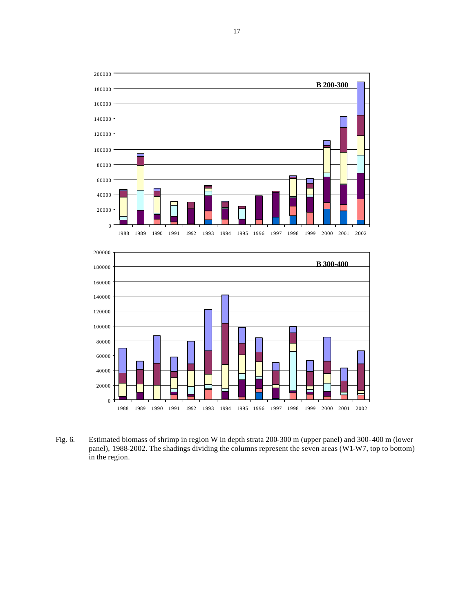



Fig. 6. Estimated biomass of shrimp in region W in depth strata 200-300 m (upper panel) and 300-400 m (lower panel), 1988-2002. The shadings dividing the columns represent the seven areas (W1-W7, top to bottom) in the region.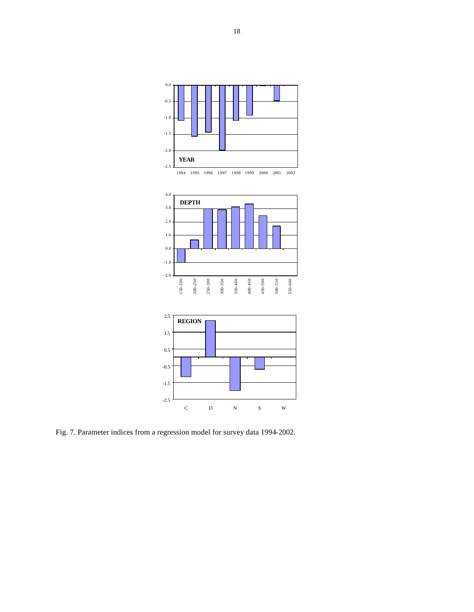

Fig. 7. Parameter indices from a regression model for survey data 1994-2002.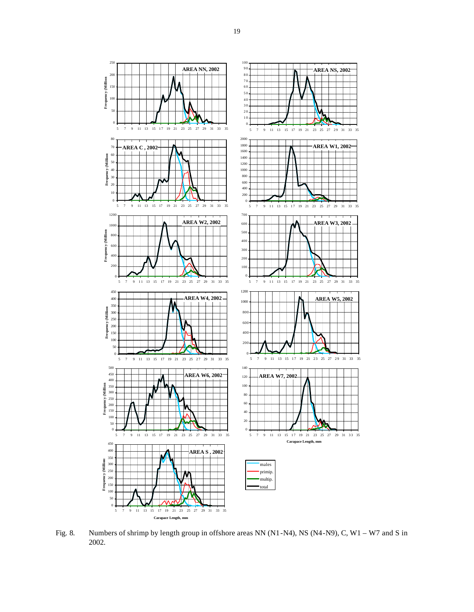

Fig. 8. Numbers of shrimp by length group in offshore areas NN (N1-N4), NS (N4-N9), C, W1 – W7 and S in 2002.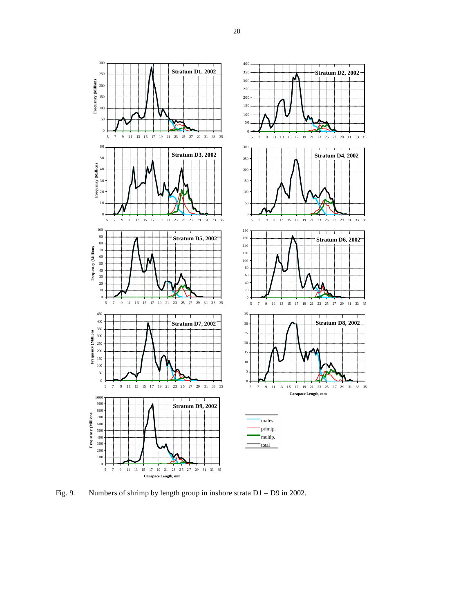

Fig. 9. Numbers of shrimp by length group in inshore strata D1 – D9 in 2002.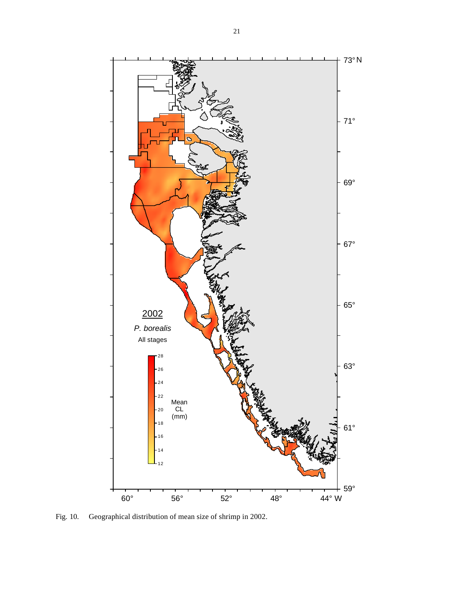

Fig. 10. Geographical distribution of mean size of shrimp in 2002.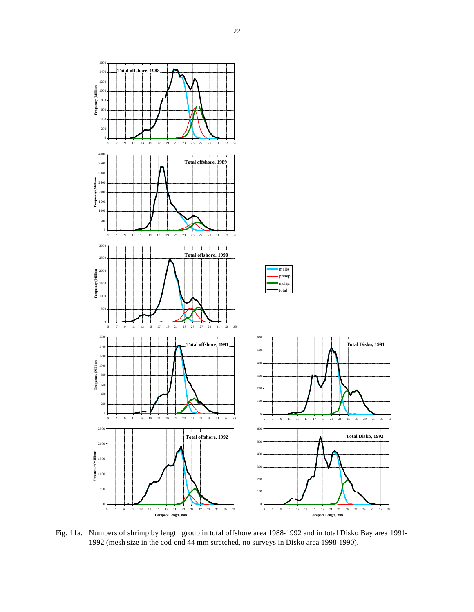

Fig. 11a. Numbers of shrimp by length group in total offshore area 1988-1992 and in total Disko Bay area 1991- 1992 (mesh size in the cod-end 44 mm stretched, no surveys in Disko area 1998-1990).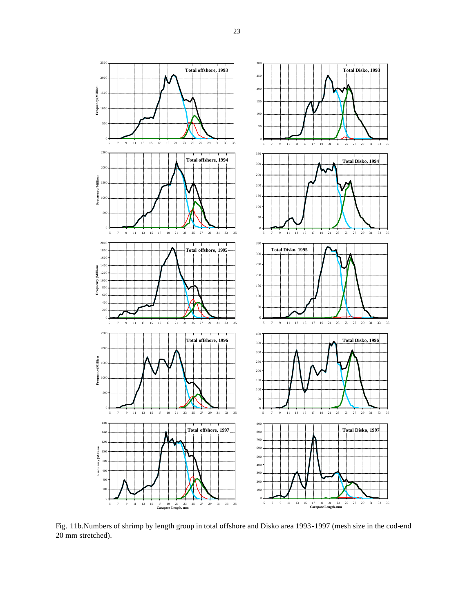

Fig. 11b.Numbers of shrimp by length group in total offshore and Disko area 1993-1997 (mesh size in the cod-end 20 mm stretched).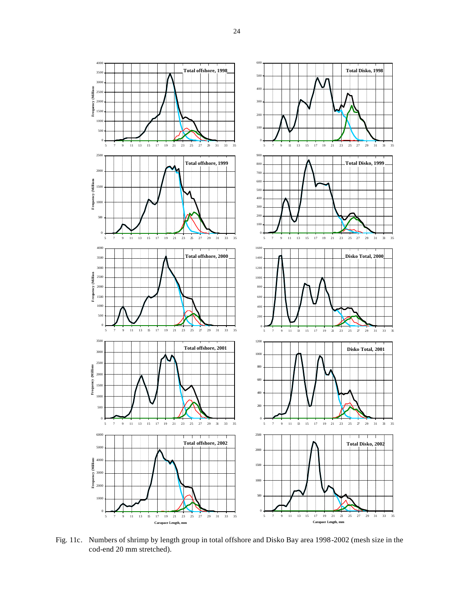

Fig. 11c. Numbers of shrimp by length group in total offshore and Disko Bay area 1998-2002 (mesh size in the cod-end 20 mm stretched).